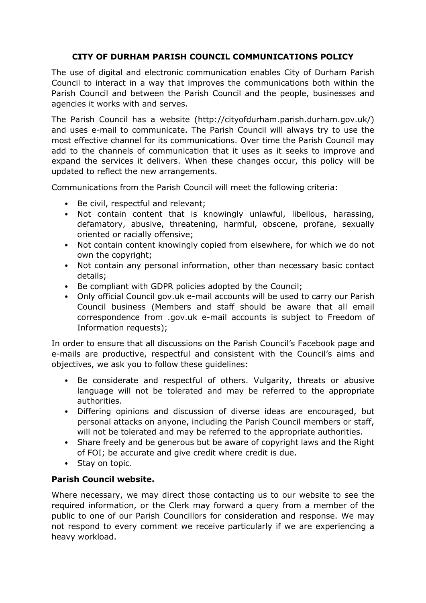# **CITY OF DURHAM PARISH COUNCIL COMMUNICATIONS POLICY**

The use of digital and electronic communication enables City of Durham Parish Council to interact in a way that improves the communications both within the Parish Council and between the Parish Council and the people, businesses and agencies it works with and serves.

The Parish Council has a website (http://cityofdurham.parish.durham.gov.uk/) and uses e-mail to communicate. The Parish Council will always try to use the most effective channel for its communications. Over time the Parish Council may add to the channels of communication that it uses as it seeks to improve and expand the services it delivers. When these changes occur, this policy will be updated to reflect the new arrangements.

Communications from the Parish Council will meet the following criteria:

- Be civil, respectful and relevant:
- Not contain content that is knowingly unlawful, libellous, harassing, defamatory, abusive, threatening, harmful, obscene, profane, sexually oriented or racially offensive;
- Not contain content knowingly copied from elsewhere, for which we do not own the copyright;
- Not contain any personal information, other than necessary basic contact details;
- Be compliant with GDPR policies adopted by the Council;
- Only official Council gov.uk e-mail accounts will be used to carry our Parish Council business (Members and staff should be aware that all email correspondence from .gov.uk e-mail accounts is subject to Freedom of Information requests);

In order to ensure that all discussions on the Parish Council's Facebook page and e-mails are productive, respectful and consistent with the Council's aims and objectives, we ask you to follow these guidelines:

- Be considerate and respectful of others. Vulgarity, threats or abusive language will not be tolerated and may be referred to the appropriate authorities.
- Differing opinions and discussion of diverse ideas are encouraged, but personal attacks on anyone, including the Parish Council members or staff, will not be tolerated and may be referred to the appropriate authorities.
- Share freely and be generous but be aware of copyright laws and the Right of FOI; be accurate and give credit where credit is due.
- Stay on topic.

# **Parish Council website.**

Where necessary, we may direct those contacting us to our website to see the required information, or the Clerk may forward a query from a member of the public to one of our Parish Councillors for consideration and response. We may not respond to every comment we receive particularly if we are experiencing a heavy workload.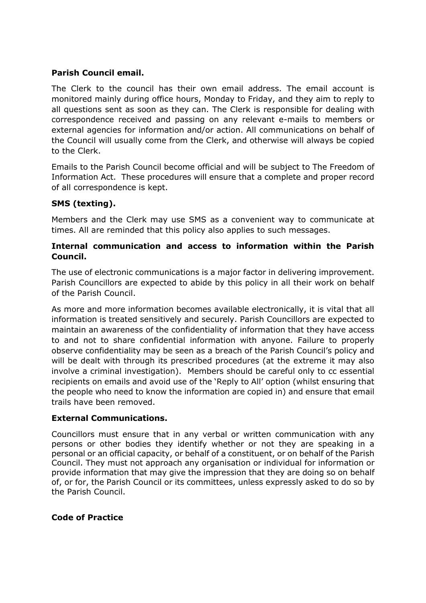# **Parish Council email.**

The Clerk to the council has their own email address. The email account is monitored mainly during office hours, Monday to Friday, and they aim to reply to all questions sent as soon as they can. The Clerk is responsible for dealing with correspondence received and passing on any relevant e-mails to members or external agencies for information and/or action. All communications on behalf of the Council will usually come from the Clerk, and otherwise will always be copied to the Clerk.

Emails to the Parish Council become official and will be subject to The Freedom of Information Act. These procedures will ensure that a complete and proper record of all correspondence is kept.

## **SMS (texting).**

Members and the Clerk may use SMS as a convenient way to communicate at times. All are reminded that this policy also applies to such messages.

# **Internal communication and access to information within the Parish Council.**

The use of electronic communications is a major factor in delivering improvement. Parish Councillors are expected to abide by this policy in all their work on behalf of the Parish Council.

As more and more information becomes available electronically, it is vital that all information is treated sensitively and securely. Parish Councillors are expected to maintain an awareness of the confidentiality of information that they have access to and not to share confidential information with anyone. Failure to properly observe confidentiality may be seen as a breach of the Parish Council's policy and will be dealt with through its prescribed procedures (at the extreme it may also involve a criminal investigation). Members should be careful only to cc essential recipients on emails and avoid use of the 'Reply to All' option (whilst ensuring that the people who need to know the information are copied in) and ensure that email trails have been removed.

## **External Communications.**

Councillors must ensure that in any verbal or written communication with any persons or other bodies they identify whether or not they are speaking in a personal or an official capacity, or behalf of a constituent, or on behalf of the Parish Council. They must not approach any organisation or individual for information or provide information that may give the impression that they are doing so on behalf of, or for, the Parish Council or its committees, unless expressly asked to do so by the Parish Council.

## **Code of Practice**